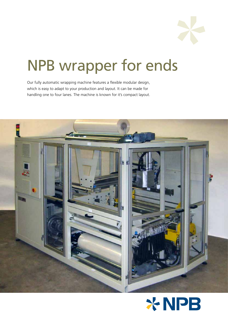

# NPB wrapper for ends

Our fully automatic wrapping machine features a flexible modular design, which is easy to adapt to your production and layout. It can be made for handling one to four lanes. The machine is known for it's compact layout.